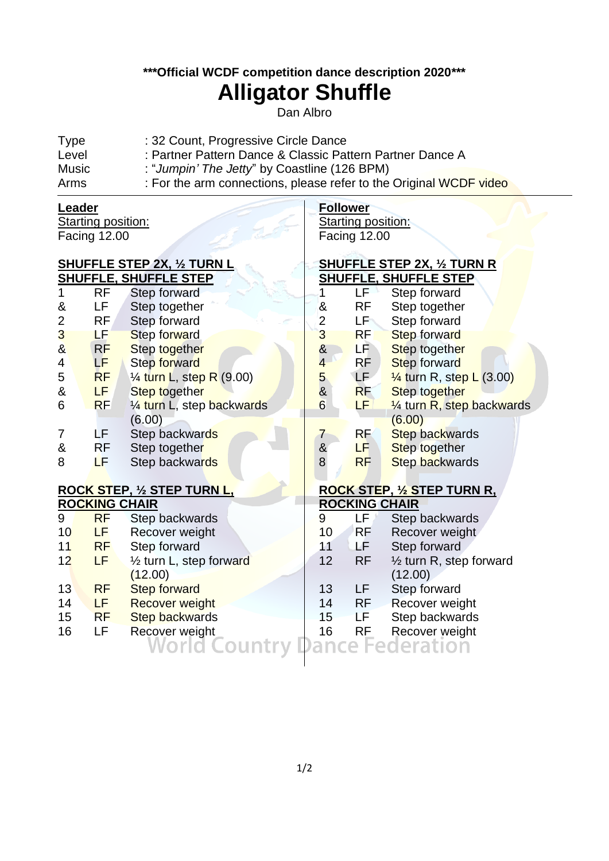### **\*\*\*Official WCDF competition dance description 2020\*\*\***

# **Alligator Shuffle**

Dan Albro

**Follower**

Starting position: Facing 12.00

| <b>Type</b> | : 32 Count, Progressive Circle Dance                               |
|-------------|--------------------------------------------------------------------|
| Level       | : Partner Pattern Dance & Classic Pattern Partner Dance A          |
| Music       | : "Jumpin' The Jetty" by Coastline (126 BPM)                       |
| Arms        | : For the arm connections, please refer to the Original WCDF video |

#### **Leader** Starting position:

Facing 12.00

j

| <b>SHUFFLE STEP 2X, 1/2 TURN L</b> |                      | <b>SHUFFLE STEP 2X, 1/2 TURN R</b>    |                 |                      |                                     |
|------------------------------------|----------------------|---------------------------------------|-----------------|----------------------|-------------------------------------|
| <b>SHUFFLE, SHUFFLE STEP</b>       |                      |                                       |                 |                      | <b>SHUFFLE, SHUFFLE STEP</b>        |
|                                    | <b>RF</b>            | Step forward                          | 1               | LF 1                 | Step forward                        |
| &                                  | LF                   | Step together                         | $\pmb{8}$       | <b>RF</b>            | Step together                       |
| $\overline{2}$                     | <b>RF</b>            | Step forward                          | $\overline{2}$  | LFN                  | Step forward                        |
| 3                                  | LF                   | Step forward                          | 3               | <b>RF</b>            | Step forward                        |
| $\boldsymbol{\alpha}$              | RF                   | Step together                         | $rac{8}{4}$     | LF <sup>1</sup>      | Step together                       |
| 4                                  | LF                   | <b>Step forward</b>                   |                 | RF.                  | Step forward                        |
| 5                                  | <b>RF</b>            | 1/ <sub>4</sub> turn L, step R (9.00) |                 | LF <sup></sup>       | $\frac{1}{4}$ turn R, step L (3.00) |
| &                                  | LF.                  | <b>Step together</b>                  | $\frac{5}{8}$   | <b>RF</b>            | Step together                       |
| 6                                  | <b>RF</b>            | 1/4 turn L, step backwards            | $6\overline{6}$ | LF.                  | 1/4 turn R, step backwards          |
|                                    |                      | (6.00)                                |                 |                      | (6.00)                              |
| 7                                  | LF                   | Step backwards                        | 7               | <b>RF</b>            | <b>Step backwards</b>               |
| &                                  | <b>RF</b>            | Step together                         | &<br>8          | LF.                  | Step together                       |
| 8                                  | LF.                  | Step backwards                        |                 | <b>RF</b>            | Step backwards                      |
|                                    |                      |                                       |                 |                      |                                     |
|                                    |                      | <b>ROCK STEP, 1/2 STEP TURN L,</b>    |                 |                      | <b>ROCK STEP, 1/2 STEP TURN R,</b>  |
|                                    | <b>ROCKING CHAIR</b> |                                       |                 | <b>ROCKING CHAIR</b> |                                     |
| 9                                  | <b>RF</b>            | Step backwards                        | 9               | LÉ /                 | Step backwards                      |
| 10                                 | LF                   | Recover weight                        | 10              | <b>RF</b>            | Recover weight                      |
| 11                                 | <b>RF</b>            | Step forward                          | 11              | LF.                  | Step forward                        |
| 12                                 | LF                   | 1/2 turn L, step forward              | 12              | <b>RF</b>            | $\frac{1}{2}$ turn R, step forward  |
|                                    |                      | (12.00)                               |                 |                      | (12.00)                             |
| 13                                 | <b>RF</b>            | <b>Step forward</b>                   | 13              | LF                   | Step forward                        |
| 14                                 | LF                   | <b>Recover weight</b>                 | 14              | RF                   | Recover weight                      |
| 15                                 | <b>RF</b>            | <b>Step backwards</b>                 | 15              | LF                   | Step backwards                      |
| 16                                 | LF                   | Recover weight                        | 16              | <b>RE</b>            | Recover weight                      |
|                                    |                      | World (                               |                 |                      | deration                            |
|                                    |                      |                                       |                 |                      |                                     |